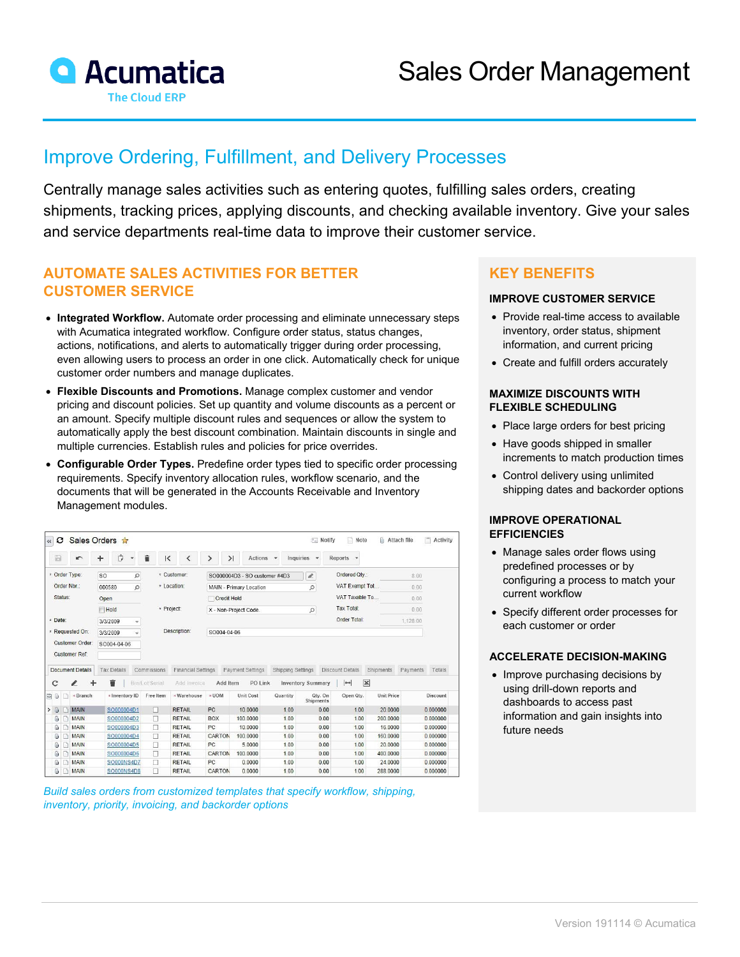

# Improve Ordering, Fulfillment, and Delivery Processes

Centrally manage sales activities such as entering quotes, fulfilling sales orders, creating shipments, tracking prices, applying discounts, and checking available inventory. Give your sales and service departments real-time data to improve their customer service.

# **AUTOMATE SALES ACTIVITIES FOR BETTER CUSTOMER SERVICE**

- **Integrated Workflow.** Automate order processing and eliminate unnecessary steps with Acumatica integrated workflow. Configure order status, status changes, actions, notifications, and alerts to automatically trigger during order processing, even allowing users to process an order in one click. Automatically check for unique customer order numbers and manage duplicates.
- **Flexible Discounts and Promotions.** Manage complex customer and vendor pricing and discount policies. Set up quantity and volume discounts as a percent or an amount. Specify multiple discount rules and sequences or allow the system to automatically apply the best discount combination. Maintain discounts in single and multiple currencies. Establish rules and policies for price overrides.
- **Configurable Order Types.** Predefine order types tied to specific order processing requirements. Specify inventory allocation rules, workflow scenario, and the documents that will be generated in the Accounts Receivable and Inventory Management modules.

| $\ll$                                   | o |                         | Sales Orders *                               |                         |                                          |                    |                                                                                                                             |                  |                   | $\equiv$ Notify                      | n<br>Note                | <b>II</b> Attach file |          | Activity           |
|-----------------------------------------|---|-------------------------|----------------------------------------------|-------------------------|------------------------------------------|--------------------|-----------------------------------------------------------------------------------------------------------------------------|------------------|-------------------|--------------------------------------|--------------------------|-----------------------|----------|--------------------|
| 圖                                       |   | $\blacksquare$          | Ů<br>٠                                       | $\overline{\mathbf{v}}$ | î<br>$\mathsf{K}$                        |                    | $\geq$                                                                                                                      | Actions -        |                   | Inquiries<br>$\overline{\mathbf{v}}$ | Reports -                |                       |          |                    |
| * Order Type:<br>Order Nbr.:<br>Status: |   |                         | so<br>$\circ$<br>Q<br>000580<br>Open<br>Hold |                         | * Customer:<br>* Location:<br>* Project: |                    | $\ell$<br>SO000004D3 - SO customer #4D3<br>$\mathcal{Q}$<br>MAIN - Primary Location<br>Credit Hold<br>X - Non-Project Code. |                  |                   |                                      | Ordered Qty.:            |                       | 8.00     |                    |
|                                         |   |                         |                                              |                         |                                          |                    |                                                                                                                             |                  |                   |                                      | VAT Exempt Tot           |                       | 0.00     |                    |
|                                         |   |                         |                                              |                         |                                          |                    |                                                                                                                             |                  |                   |                                      | VAT Taxable To           |                       | 0.00     |                    |
|                                         |   |                         |                                              |                         |                                          |                    |                                                                                                                             |                  |                   | Q                                    | <b>Tax Total:</b>        |                       | 0.00     |                    |
| * Date:                                 |   |                         | 3/3/2009<br>$\overline{\phantom{a}}$         |                         |                                          |                    |                                                                                                                             |                  |                   |                                      | Order Total:             |                       | 1,128.00 |                    |
| * Requested On:                         |   |                         | 3/3/2009                                     | ÷                       | Description:                             |                    | SO004-04-06                                                                                                                 |                  |                   |                                      |                          |                       |          |                    |
| Customer Order:                         |   |                         | SO004-04-06                                  |                         |                                          |                    |                                                                                                                             |                  |                   |                                      |                          |                       |          |                    |
|                                         |   |                         |                                              |                         |                                          |                    |                                                                                                                             |                  |                   |                                      |                          |                       |          |                    |
|                                         |   |                         |                                              |                         |                                          |                    |                                                                                                                             |                  |                   |                                      |                          |                       |          |                    |
|                                         |   | <b>Customer Ref:</b>    |                                              |                         |                                          |                    |                                                                                                                             |                  |                   |                                      |                          |                       |          |                    |
|                                         |   | <b>Document Details</b> | <b>Tax Details</b>                           |                         | Commissions                              | Financial Settings |                                                                                                                             | Payment Settings | Shipping Settings |                                      | Discount Details         | <b>Shipments</b>      | Payments |                    |
|                                         |   |                         | û                                            |                         | Bin/Lot/Serial                           | Add Invoice        | Add Item                                                                                                                    | PO Link          |                   | <b>Inventory Summary</b>             | $\mathbf x$<br>$\mapsto$ |                       |          |                    |
|                                         |   | *Branch                 | *Inventory ID                                |                         | Free Item                                | * Warehouse        | * UOM                                                                                                                       | <b>Unit Cost</b> | Quantity          | Qty. On<br>Shipments                 | Open Qtv.                | <b>Unit Price</b>     |          |                    |
|                                         |   | <b>MAIN</b>             | SO000004D1                                   |                         | п                                        | <b>RETAIL</b>      | PC                                                                                                                          | 10.0000          | 1.00              | 0.00                                 | 1.00                     | 20,0000               | 0.000000 | Totals<br>Discount |
| Û                                       |   | <b>MAIN</b>             | SO000004D2                                   |                         | □                                        | <b>RETAIL</b>      | <b>BOX</b>                                                                                                                  | 100,0000         | 1.00              | 0.00                                 | 1.00                     | 200.0000              | 0.000000 |                    |
| Û                                       |   | MAIN                    | SO000004D3                                   |                         | п                                        | <b>RETAIL</b>      | PC                                                                                                                          | 10.0000          | 1.00              | 0.00                                 | 1.00                     | 16,0000               | 0.000000 |                    |
| $\mathbf{0}$                            |   | <b>MAIN</b>             | SO000004D4                                   |                         | п                                        | <b>RETAIL</b>      | CARTON                                                                                                                      | 100,0000         | 1.00              | 0.00                                 | 1.00                     | 160,0000              | 0.000000 |                    |
| $\Omega$                                |   | <b>MAIN</b>             | SO000004D5                                   |                         | □                                        | <b>RETAIL</b>      | PC                                                                                                                          | 5.0000           | 1.00              | 0.00                                 | 1.00                     | 20.0000               | 0.000000 |                    |
| $\omega$                                |   | <b>MAIN</b>             | SO000004D6                                   |                         | Π                                        | <b>RETAIL</b>      | CARTON                                                                                                                      | 100 0000         | 1.00              | 0.00                                 | 1.00                     | 400 0000              | 0.000000 |                    |
| C<br><b>B0</b><br>> 0<br>O              |   | <b>MAIN</b>             | SO000NS4D7                                   |                         | п                                        | <b>RETAIL</b>      | PC.                                                                                                                         | 0.0000           | 1.00              | 0.00                                 | 1.00                     | 24,0000               | 0.000000 |                    |



## **KEY BENEFITS**

#### **IMPROVE CUSTOMER SERVICE**

- Provide real-time access to available inventory, order status, shipment information, and current pricing
- Create and fulfill orders accurately

#### **MAXIMIZE DISCOUNTS WITH FLEXIBLE SCHEDULING**

- Place large orders for best pricing
- Have goods shipped in smaller increments to match production times
- Control delivery using unlimited shipping dates and backorder options

#### **IMPROVE OPERATIONAL EFFICIENCIES**

- Manage sales order flows using predefined processes or by configuring a process to match your current workflow
- Specify different order processes for each customer or order

#### **ACCELERATE DECISION-MAKING**

• Improve purchasing decisions by using drill-down reports and dashboards to access past information and gain insights into future needs